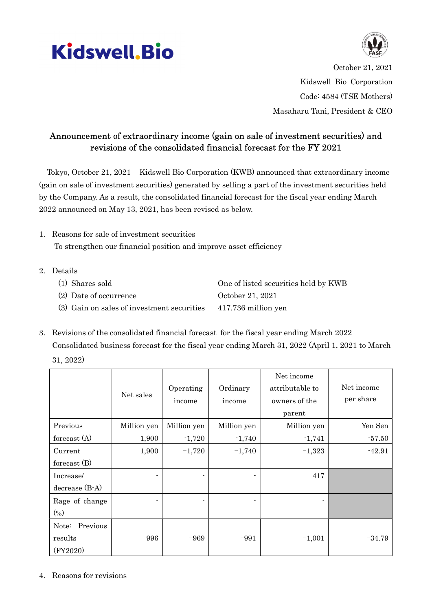



October 21, 2021 Kidswell Bio Corporation Code: 4584 (TSE Mothers) Masaharu Tani, President & CEO

## Announcement of extraordinary income (gain on sale of investment securities) and revisions of the consolidated financial forecast for the FY 2021

Tokyo, October 21, 2021 – Kidswell Bio Corporation (KWB) announced that extraordinary income (gain on sale of investment securities) generated by selling a part of the investment securities held by the Company. As a result, the consolidated financial forecast for the fiscal year ending March 2022 announced on May 13, 2021, has been revised as below.

- 1. Reasons for sale of investment securities To strengthen our financial position and improve asset efficiency
- 2. Details
	- (1) Shares sold One of listed securities held by KWB (2) Date of occurrence October 21, 2021
	- (3) Gain on sales of investment securities 417.736 million yen
- 3. Revisions of the consolidated financial forecast for the fiscal year ending March 2022 Consolidated business forecast for the fiscal year ending March 31, 2022 (April 1, 2021 to March 31, 2022)

|                   | Net sales   | Operating<br>income | Ordinary<br>income | Net income<br>attributable to<br>owners of the<br>parent | Net income<br>per share |
|-------------------|-------------|---------------------|--------------------|----------------------------------------------------------|-------------------------|
| Previous          | Million yen | Million yen         | Million yen        | Million yen                                              | Yen Sen                 |
| forecast $(A)$    | 1,900       | $-1,720$            | $-1,740$           | $-1,741$                                                 | $-57.50$                |
| Current           | 1,900       | $-1,720$            | $-1,740$           | $-1,323$                                                 | $-42.91$                |
| forecast $(B)$    |             |                     |                    |                                                          |                         |
| Increase/         |             |                     |                    | 417                                                      |                         |
| $decrease (B-A)$  |             |                     |                    |                                                          |                         |
| Rage of change    |             |                     |                    |                                                          |                         |
| $(\%)$            |             |                     |                    |                                                          |                         |
| Previous<br>Note: |             |                     |                    |                                                          |                         |
| results           | 996         | -969                | $-991$             | $-1,001$                                                 | $-34.79$                |
| (FY2020)          |             |                     |                    |                                                          |                         |

4. Reasons for revisions